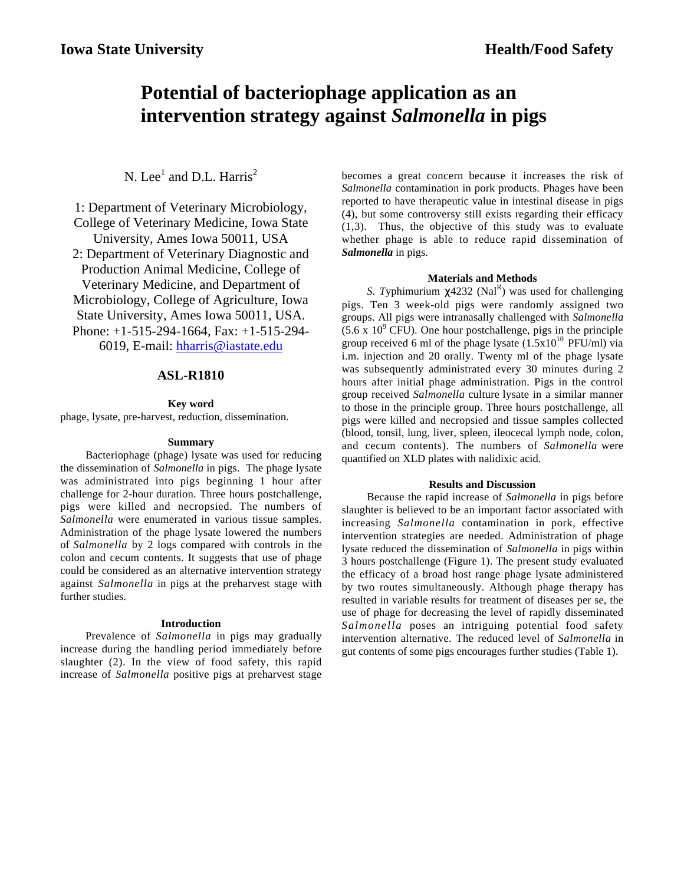# **Potential of bacteriophage application as an intervention strategy against** *Salmonella* **in pigs**

# N. Lee<sup>1</sup> and D.L. Harris<sup>2</sup>

1: Department of Veterinary Microbiology, College of Veterinary Medicine, Iowa State University, Ames Iowa 50011, USA 2: Department of Veterinary Diagnostic and Production Animal Medicine, College of Veterinary Medicine, and Department of Microbiology, College of Agriculture, Iowa State University, Ames Iowa 50011, USA. Phone: +1-515-294-1664, Fax: +1-515-294- 6019, E-mail: hharris@iastate.edu

# **ASL-R1810**

#### **Key word**

phage, lysate, pre-harvest, reduction, dissemination.

#### **Summary**

Bacteriophage (phage) lysate was used for reducing the dissemination of *Salmonella* in pigs. The phage lysate was administrated into pigs beginning 1 hour after challenge for 2-hour duration. Three hours postchallenge, pigs were killed and necropsied. The numbers of *Salmonella* were enumerated in various tissue samples. Administration of the phage lysate lowered the numbers of *Salmonella* by 2 logs compared with controls in the colon and cecum contents. It suggests that use of phage could be considered as an alternative intervention strategy against *Salmonella* in pigs at the preharvest stage with further studies.

#### **Introduction**

Prevalence of *Salmonella* in pigs may gradually increase during the handling period immediately before slaughter (2). In the view of food safety, this rapid increase of *Salmonella* positive pigs at preharvest stage

becomes a great concern because it increases the risk of *Salmonella* contamination in pork products. Phages have been reported to have therapeutic value in intestinal disease in pigs (4), but some controversy still exists regarding their efficacy (1,3). Thus, the objective of this study was to evaluate whether phage is able to reduce rapid dissemination of *Salmonella* in pigs.

### **Materials and Methods**

*S. Typhimurium*  $\chi$ 4232 (Nal<sup>R</sup>) was used for challenging pigs. Ten 3 week-old pigs were randomly assigned two groups. All pigs were intranasally challenged with *Salmonella*  $(5.6 \times 10^9 \text{ CFU})$ . One hour postchallenge, pigs in the principle group received 6 ml of the phage lysate  $(1.5x10^{10} \text{ PFU/ml})$  via i.m. injection and 20 orally. Twenty ml of the phage lysate was subsequently administrated every 30 minutes during 2 hours after initial phage administration. Pigs in the control group received *Salmonella* culture lysate in a similar manner to those in the principle group. Three hours postchallenge, all pigs were killed and necropsied and tissue samples collected (blood, tonsil, lung, liver, spleen, ileocecal lymph node, colon, and cecum contents). The numbers of *Salmonella* were quantified on XLD plates with nalidixic acid.

#### **Results and Discussion**

Because the rapid increase of *Salmonella* in pigs before slaughter is believed to be an important factor associated with increasing *Salmonella* contamination in pork, effective intervention strategies are needed. Administration of phage lysate reduced the dissemination of *Salmonella* in pigs within 3 hours postchallenge (Figure 1). The present study evaluated the efficacy of a broad host range phage lysate administered by two routes simultaneously. Although phage therapy has resulted in variable results for treatment of diseases per se, the use of phage for decreasing the level of rapidly disseminated *Salmonella* poses an intriguing potential food safety intervention alternative. The reduced level of *Salmonella* in gut contents of some pigs encourages further studies (Table 1).